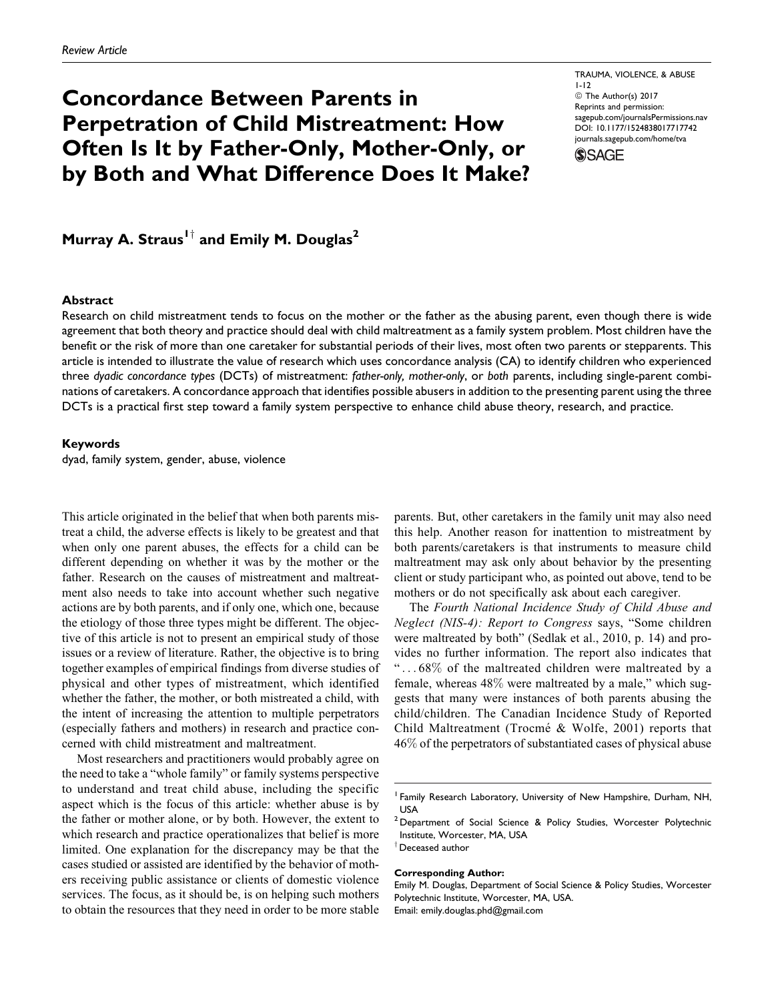# Concordance Between Parents in Perpetration of Child Mistreatment: How Often Is It by Father-Only, Mother-Only, or by Both and What Difference Does It Make?

TRAUMA, VIOLENCE, & ABUSE 1-12 © The Author(s) 2017 Reprints and permission: [sagepub.com/journalsPermissions.nav](https://us.sagepub.com/en-us/journals-permissions) [DOI: 10.1177/1524838017717742](https://doi.org/10.1177/1524838017717742) [journals.sagepub.com/home/tva](http://journals.sagepub.com/home/tva)



Murray A. Straus<sup>1†</sup> and Emily M. Douglas<sup>2</sup>

#### **Abstract**

Research on child mistreatment tends to focus on the mother or the father as the abusing parent, even though there is wide agreement that both theory and practice should deal with child maltreatment as a family system problem. Most children have the benefit or the risk of more than one caretaker for substantial periods of their lives, most often two parents or stepparents. This article is intended to illustrate the value of research which uses concordance analysis (CA) to identify children who experienced three dyadic concordance types (DCTs) of mistreatment: father-only, mother-only, or both parents, including single-parent combinations of caretakers. A concordance approach that identifies possible abusers in addition to the presenting parent using the three DCTs is a practical first step toward a family system perspective to enhance child abuse theory, research, and practice.

#### Keywords

dyad, family system, gender, abuse, violence

This article originated in the belief that when both parents mistreat a child, the adverse effects is likely to be greatest and that when only one parent abuses, the effects for a child can be different depending on whether it was by the mother or the father. Research on the causes of mistreatment and maltreatment also needs to take into account whether such negative actions are by both parents, and if only one, which one, because the etiology of those three types might be different. The objective of this article is not to present an empirical study of those issues or a review of literature. Rather, the objective is to bring together examples of empirical findings from diverse studies of physical and other types of mistreatment, which identified whether the father, the mother, or both mistreated a child, with the intent of increasing the attention to multiple perpetrators (especially fathers and mothers) in research and practice concerned with child mistreatment and maltreatment.

Most researchers and practitioners would probably agree on the need to take a "whole family" or family systems perspective to understand and treat child abuse, including the specific aspect which is the focus of this article: whether abuse is by the father or mother alone, or by both. However, the extent to which research and practice operationalizes that belief is more limited. One explanation for the discrepancy may be that the cases studied or assisted are identified by the behavior of mothers receiving public assistance or clients of domestic violence services. The focus, as it should be, is on helping such mothers to obtain the resources that they need in order to be more stable

parents. But, other caretakers in the family unit may also need this help. Another reason for inattention to mistreatment by both parents/caretakers is that instruments to measure child maltreatment may ask only about behavior by the presenting client or study participant who, as pointed out above, tend to be mothers or do not specifically ask about each caregiver.

The Fourth National Incidence Study of Child Abuse and Neglect (NIS-4): Report to Congress says, "Some children were maltreated by both" (Sedlak et al., 2010, p. 14) and provides no further information. The report also indicates that " ... 68% of the maltreated children were maltreated by a female, whereas 48% were maltreated by a male," which suggests that many were instances of both parents abusing the child/children. The Canadian Incidence Study of Reported Child Maltreatment (Trocmé & Wolfe, 2001) reports that 46% of the perpetrators of substantiated cases of physical abuse

# Corresponding Author:

<sup>&</sup>lt;sup>1</sup> Family Research Laboratory, University of New Hampshire, Durham, NH, USA

<sup>&</sup>lt;sup>2</sup> Department of Social Science & Policy Studies, Worcester Polytechnic Institute, Worcester, MA, USA  $^\dagger$  Deceased author

Emily M. Douglas, Department of Social Science & Policy Studies, Worcester Polytechnic Institute, Worcester, MA, USA. Email: emily.douglas.phd@gmail.com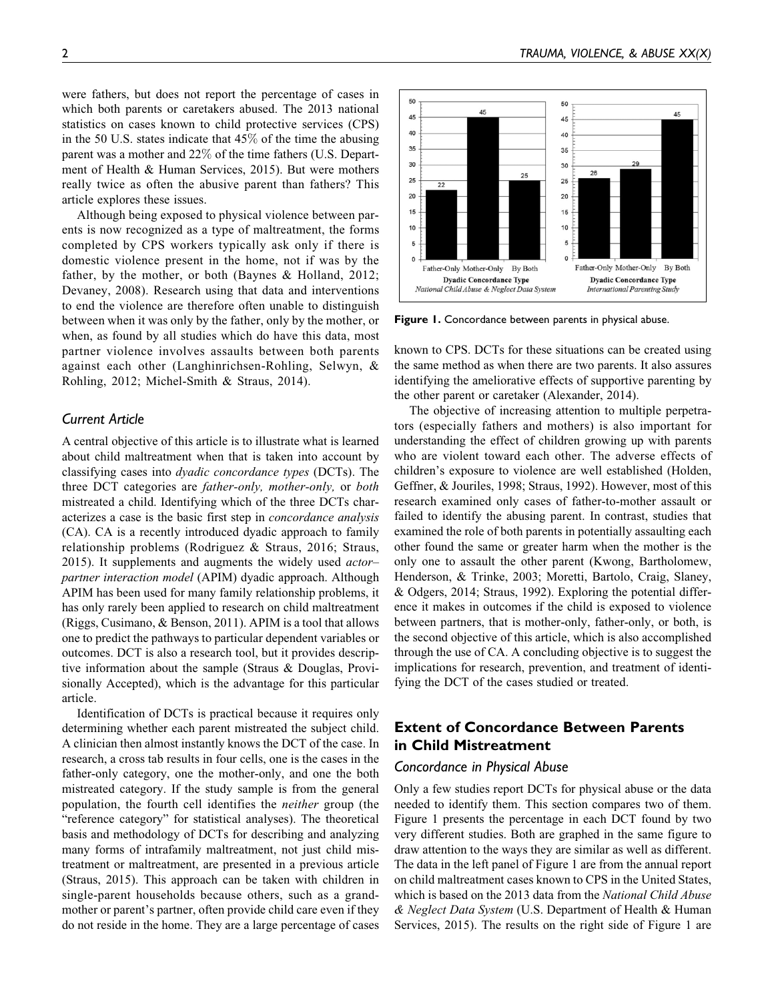were fathers, but does not report the percentage of cases in which both parents or caretakers abused. The 2013 national statistics on cases known to child protective services (CPS) in the 50 U.S. states indicate that 45% of the time the abusing parent was a mother and 22% of the time fathers (U.S. Department of Health & Human Services, 2015). But were mothers really twice as often the abusive parent than fathers? This article explores these issues.

Although being exposed to physical violence between parents is now recognized as a type of maltreatment, the forms completed by CPS workers typically ask only if there is domestic violence present in the home, not if was by the father, by the mother, or both (Baynes & Holland, 2012; Devaney, 2008). Research using that data and interventions to end the violence are therefore often unable to distinguish between when it was only by the father, only by the mother, or when, as found by all studies which do have this data, most partner violence involves assaults between both parents against each other (Langhinrichsen-Rohling, Selwyn, & Rohling, 2012; Michel-Smith & Straus, 2014).

## Current Article

A central objective of this article is to illustrate what is learned about child maltreatment when that is taken into account by classifying cases into dyadic concordance types (DCTs). The three DCT categories are father-only, mother-only, or both mistreated a child. Identifying which of the three DCTs characterizes a case is the basic first step in concordance analysis (CA). CA is a recently introduced dyadic approach to family relationship problems (Rodriguez & Straus, 2016; Straus, 2015). It supplements and augments the widely used actorpartner interaction model (APIM) dyadic approach. Although APIM has been used for many family relationship problems, it has only rarely been applied to research on child maltreatment (Riggs, Cusimano, & Benson, 2011). APIM is a tool that allows one to predict the pathways to particular dependent variables or outcomes. DCT is also a research tool, but it provides descriptive information about the sample (Straus & Douglas, Provisionally Accepted), which is the advantage for this particular article.

Identification of DCTs is practical because it requires only determining whether each parent mistreated the subject child. A clinician then almost instantly knows the DCT of the case. In research, a cross tab results in four cells, one is the cases in the father-only category, one the mother-only, and one the both mistreated category. If the study sample is from the general population, the fourth cell identifies the neither group (the "reference category" for statistical analyses). The theoretical basis and methodology of DCTs for describing and analyzing many forms of intrafamily maltreatment, not just child mistreatment or maltreatment, are presented in a previous article (Straus, 2015). This approach can be taken with children in single-parent households because others, such as a grandmother or parent's partner, often provide child care even if they do not reside in the home. They are a large percentage of cases



Figure 1. Concordance between parents in physical abuse.

known to CPS. DCTs for these situations can be created using the same method as when there are two parents. It also assures identifying the ameliorative effects of supportive parenting by the other parent or caretaker (Alexander, 2014).

The objective of increasing attention to multiple perpetrators (especially fathers and mothers) is also important for understanding the effect of children growing up with parents who are violent toward each other. The adverse effects of children's exposure to violence are well established (Holden, Geffner, & Jouriles, 1998; Straus, 1992). However, most of this research examined only cases of father-to-mother assault or failed to identify the abusing parent. In contrast, studies that examined the role of both parents in potentially assaulting each other found the same or greater harm when the mother is the only one to assault the other parent (Kwong, Bartholomew, Henderson, & Trinke, 2003; Moretti, Bartolo, Craig, Slaney, & Odgers, 2014; Straus, 1992). Exploring the potential difference it makes in outcomes if the child is exposed to violence between partners, that is mother-only, father-only, or both, is the second objective of this article, which is also accomplished through the use of CA. A concluding objective is to suggest the implications for research, prevention, and treatment of identifying the DCT of the cases studied or treated.

# Extent of Concordance Between Parents in Child Mistreatment

### Concordance in Physical Abuse

Only a few studies report DCTs for physical abuse or the data needed to identify them. This section compares two of them. Figure 1 presents the percentage in each DCT found by two very different studies. Both are graphed in the same figure to draw attention to the ways they are similar as well as different. The data in the left panel of Figure 1 are from the annual report on child maltreatment cases known to CPS in the United States, which is based on the 2013 data from the National Child Abuse & Neglect Data System (U.S. Department of Health & Human Services, 2015). The results on the right side of Figure 1 are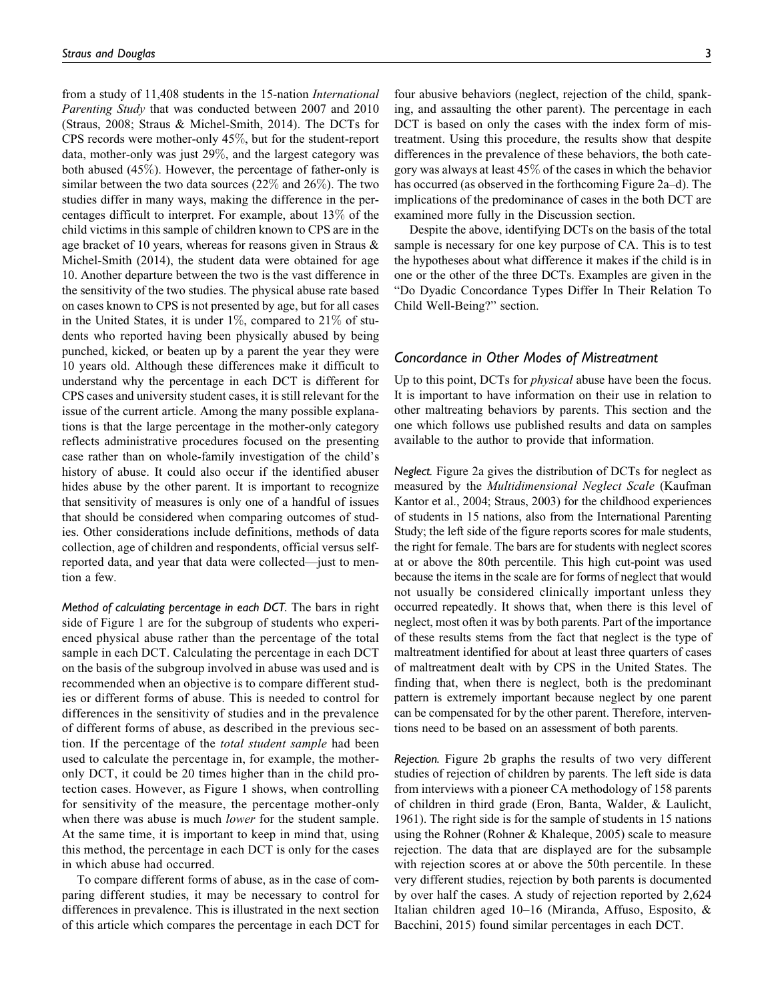from a study of 11,408 students in the 15-nation International Parenting Study that was conducted between 2007 and 2010 (Straus, 2008; Straus & Michel-Smith, 2014). The DCTs for CPS records were mother-only 45%, but for the student-report data, mother-only was just 29%, and the largest category was both abused (45%). However, the percentage of father-only is similar between the two data sources (22% and 26%). The two studies differ in many ways, making the difference in the percentages difficult to interpret. For example, about 13% of the child victims in this sample of children known to CPS are in the age bracket of 10 years, whereas for reasons given in Straus & Michel-Smith (2014), the student data were obtained for age 10. Another departure between the two is the vast difference in the sensitivity of the two studies. The physical abuse rate based on cases known to CPS is not presented by age, but for all cases in the United States, it is under  $1\%$ , compared to  $21\%$  of students who reported having been physically abused by being punched, kicked, or beaten up by a parent the year they were 10 years old. Although these differences make it difficult to understand why the percentage in each DCT is different for CPS cases and university student cases, it is still relevant for the issue of the current article. Among the many possible explanations is that the large percentage in the mother-only category reflects administrative procedures focused on the presenting case rather than on whole-family investigation of the child's history of abuse. It could also occur if the identified abuser hides abuse by the other parent. It is important to recognize that sensitivity of measures is only one of a handful of issues that should be considered when comparing outcomes of studies. Other considerations include definitions, methods of data collection, age of children and respondents, official versus selfreported data, and year that data were collected—just to mention a few.

Method of calculating percentage in each DCT. The bars in right side of Figure 1 are for the subgroup of students who experienced physical abuse rather than the percentage of the total sample in each DCT. Calculating the percentage in each DCT on the basis of the subgroup involved in abuse was used and is recommended when an objective is to compare different studies or different forms of abuse. This is needed to control for differences in the sensitivity of studies and in the prevalence of different forms of abuse, as described in the previous section. If the percentage of the total student sample had been used to calculate the percentage in, for example, the motheronly DCT, it could be 20 times higher than in the child protection cases. However, as Figure 1 shows, when controlling for sensitivity of the measure, the percentage mother-only when there was abuse is much *lower* for the student sample. At the same time, it is important to keep in mind that, using this method, the percentage in each DCT is only for the cases in which abuse had occurred.

To compare different forms of abuse, as in the case of comparing different studies, it may be necessary to control for differences in prevalence. This is illustrated in the next section of this article which compares the percentage in each DCT for four abusive behaviors (neglect, rejection of the child, spanking, and assaulting the other parent). The percentage in each DCT is based on only the cases with the index form of mistreatment. Using this procedure, the results show that despite differences in the prevalence of these behaviors, the both category was always at least 45% of the cases in which the behavior has occurred (as observed in the forthcoming Figure 2a–d). The implications of the predominance of cases in the both DCT are examined more fully in the Discussion section.

Despite the above, identifying DCTs on the basis of the total sample is necessary for one key purpose of CA. This is to test the hypotheses about what difference it makes if the child is in one or the other of the three DCTs. Examples are given in the "Do Dyadic Concordance Types Differ In Their Relation To Child Well-Being?" section.

## Concordance in Other Modes of Mistreatment

Up to this point, DCTs for *physical* abuse have been the focus. It is important to have information on their use in relation to other maltreating behaviors by parents. This section and the one which follows use published results and data on samples available to the author to provide that information.

Neglect. Figure 2a gives the distribution of DCTs for neglect as measured by the Multidimensional Neglect Scale (Kaufman Kantor et al., 2004; Straus, 2003) for the childhood experiences of students in 15 nations, also from the International Parenting Study; the left side of the figure reports scores for male students, the right for female. The bars are for students with neglect scores at or above the 80th percentile. This high cut-point was used because the items in the scale are for forms of neglect that would not usually be considered clinically important unless they occurred repeatedly. It shows that, when there is this level of neglect, most often it was by both parents. Part of the importance of these results stems from the fact that neglect is the type of maltreatment identified for about at least three quarters of cases of maltreatment dealt with by CPS in the United States. The finding that, when there is neglect, both is the predominant pattern is extremely important because neglect by one parent can be compensated for by the other parent. Therefore, interventions need to be based on an assessment of both parents.

Rejection. Figure 2b graphs the results of two very different studies of rejection of children by parents. The left side is data from interviews with a pioneer CA methodology of 158 parents of children in third grade (Eron, Banta, Walder, & Laulicht, 1961). The right side is for the sample of students in 15 nations using the Rohner (Rohner & Khaleque, 2005) scale to measure rejection. The data that are displayed are for the subsample with rejection scores at or above the 50th percentile. In these very different studies, rejection by both parents is documented by over half the cases. A study of rejection reported by 2,624 Italian children aged 10–16 (Miranda, Affuso, Esposito, & Bacchini, 2015) found similar percentages in each DCT.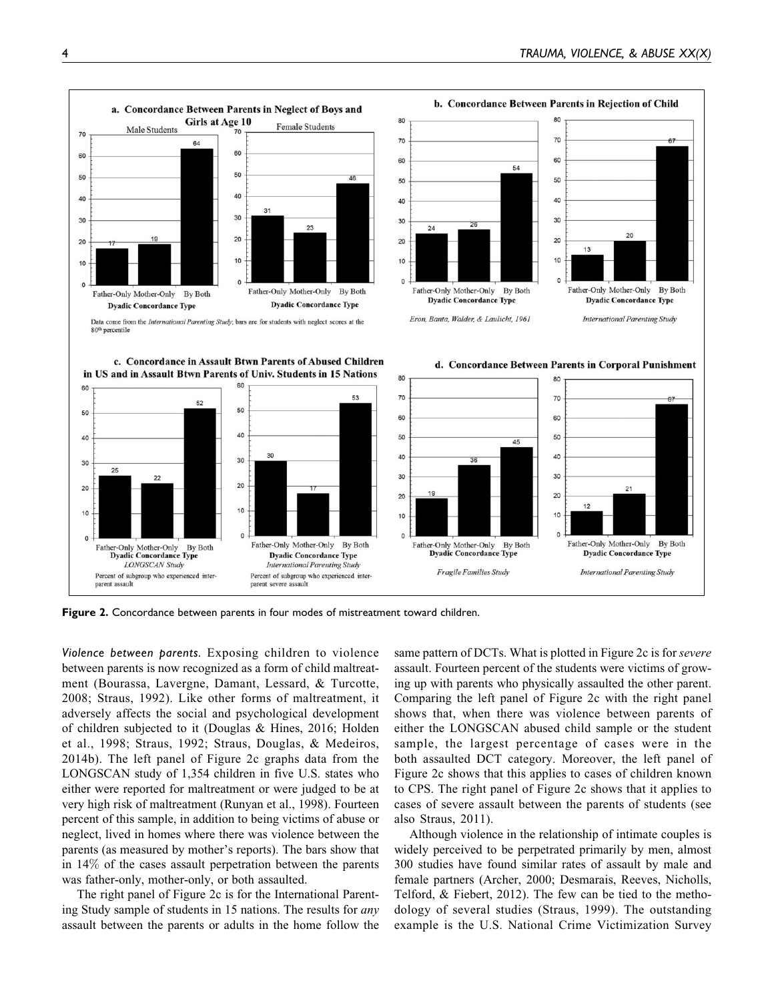

Figure 2. Concordance between parents in four modes of mistreatment toward children.

Violence between parents. Exposing children to violence between parents is now recognized as a form of child maltreatment (Bourassa, Lavergne, Damant, Lessard, & Turcotte, 2008; Straus, 1992). Like other forms of maltreatment, it adversely affects the social and psychological development of children subjected to it (Douglas & Hines, 2016; Holden et al., 1998; Straus, 1992; Straus, Douglas, & Medeiros, 2014b). The left panel of Figure 2c graphs data from the LONGSCAN study of 1,354 children in five U.S. states who either were reported for maltreatment or were judged to be at very high risk of maltreatment (Runyan et al., 1998). Fourteen percent of this sample, in addition to being victims of abuse or neglect, lived in homes where there was violence between the parents (as measured by mother's reports). The bars show that in 14% of the cases assault perpetration between the parents was father-only, mother-only, or both assaulted.

The right panel of Figure 2c is for the International Parenting Study sample of students in 15 nations. The results for *any* assault between the parents or adults in the home follow the same pattern of DCTs. What is plotted in Figure 2c is for severe assault. Fourteen percent of the students were victims of growing up with parents who physically assaulted the other parent. Comparing the left panel of Figure 2c with the right panel shows that, when there was violence between parents of either the LONGSCAN abused child sample or the student sample, the largest percentage of cases were in the both assaulted DCT category. Moreover, the left panel of Figure 2c shows that this applies to cases of children known to CPS. The right panel of Figure 2c shows that it applies to cases of severe assault between the parents of students (see also Straus, 2011).

Although violence in the relationship of intimate couples is widely perceived to be perpetrated primarily by men, almost 300 studies have found similar rates of assault by male and female partners (Archer, 2000; Desmarais, Reeves, Nicholls, Telford, & Fiebert, 2012). The few can be tied to the methodology of several studies (Straus, 1999). The outstanding example is the U.S. National Crime Victimization Survey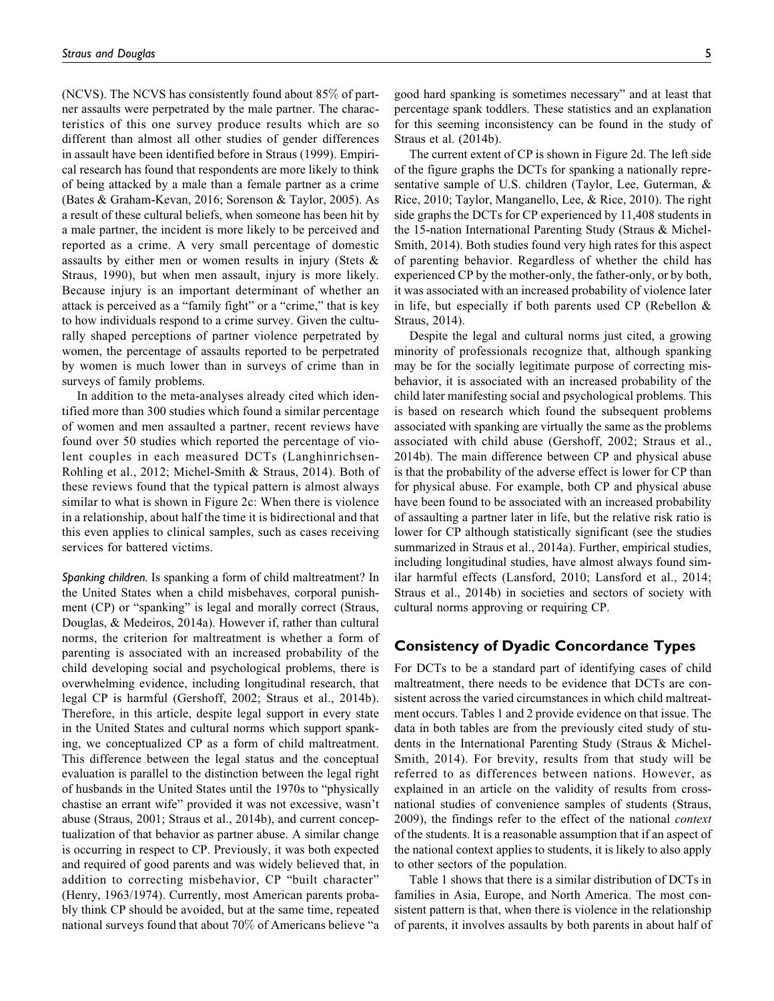(NCVS). The NCVS has consistently found about 85% of partner assaults were perpetrated by the male partner. The characteristics of this one survey produce results which are so different than almost all other studies of gender differences in assault have been identified before in Straus (1999). Empirical research has found that respondents are more likely to think of being attacked by a male than a female partner as a crime (Bates & Graham-Kevan, 2016; Sorenson & Taylor, 2005). As a result of these cultural beliefs, when someone has been hit by a male partner, the incident is more likely to be perceived and reported as a crime. A very small percentage of domestic assaults by either men or women results in injury (Stets & Straus, 1990), but when men assault, injury is more likely. Because injury is an important determinant of whether an attack is perceived as a "family fight" or a "crime," that is key to how individuals respond to a crime survey. Given the culturally shaped perceptions of partner violence perpetrated by women, the percentage of assaults reported to be perpetrated by women is much lower than in surveys of crime than in surveys of family problems.

In addition to the meta-analyses already cited which identified more than 300 studies which found a similar percentage of women and men assaulted a partner, recent reviews have found over 50 studies which reported the percentage of violent couples in each measured DCTs (Langhinrichsen-Rohling et al., 2012; Michel-Smith & Straus, 2014). Both of these reviews found that the typical pattern is almost always similar to what is shown in Figure 2c: When there is violence in a relationship, about half the time it is bidirectional and that this even applies to clinical samples, such as cases receiving services for battered victims.

Spanking children. Is spanking a form of child maltreatment? In the United States when a child misbehaves, corporal punishment (CP) or "spanking" is legal and morally correct (Straus, Douglas, & Medeiros, 2014a). However if, rather than cultural norms, the criterion for maltreatment is whether a form of parenting is associated with an increased probability of the child developing social and psychological problems, there is overwhelming evidence, including longitudinal research, that legal CP is harmful (Gershoff, 2002; Straus et al., 2014b). Therefore, in this article, despite legal support in every state in the United States and cultural norms which support spanking, we conceptualized CP as a form of child maltreatment. This difference between the legal status and the conceptual evaluation is parallel to the distinction between the legal right of husbands in the United States until the 1970s to "physically chastise an errant wife" provided it was not excessive, wasn't abuse (Straus, 2001; Straus et al., 2014b), and current conceptualization of that behavior as partner abuse. A similar change is occurring in respect to CP. Previously, it was both expected and required of good parents and was widely believed that, in addition to correcting misbehavior, CP "built character" (Henry, 1963/1974). Currently, most American parents probably think CP should be avoided, but at the same time, repeated national surveys found that about 70% of Americans believe "a

good hard spanking is sometimes necessary" and at least that percentage spank toddlers. These statistics and an explanation for this seeming inconsistency can be found in the study of Straus et al. (2014b).

The current extent of CP is shown in Figure 2d. The left side of the figure graphs the DCTs for spanking a nationally representative sample of U.S. children (Taylor, Lee, Guterman, & Rice, 2010; Taylor, Manganello, Lee, & Rice, 2010). The right side graphs the DCTs for CP experienced by 11,408 students in the 15-nation International Parenting Study (Straus & Michel-Smith, 2014). Both studies found very high rates for this aspect of parenting behavior. Regardless of whether the child has experienced CP by the mother-only, the father-only, or by both, it was associated with an increased probability of violence later in life, but especially if both parents used CP (Rebellon & Straus, 2014).

Despite the legal and cultural norms just cited, a growing minority of professionals recognize that, although spanking may be for the socially legitimate purpose of correcting misbehavior, it is associated with an increased probability of the child later manifesting social and psychological problems. This is based on research which found the subsequent problems associated with spanking are virtually the same as the problems associated with child abuse (Gershoff, 2002; Straus et al., 2014b). The main difference between CP and physical abuse is that the probability of the adverse effect is lower for CP than for physical abuse. For example, both CP and physical abuse have been found to be associated with an increased probability of assaulting a partner later in life, but the relative risk ratio is lower for CP although statistically significant (see the studies summarized in Straus et al., 2014a). Further, empirical studies, including longitudinal studies, have almost always found similar harmful effects (Lansford, 2010; Lansford et al., 2014; Straus et al., 2014b) in societies and sectors of society with cultural norms approving or requiring CP.

# Consistency of Dyadic Concordance Types

For DCTs to be a standard part of identifying cases of child maltreatment, there needs to be evidence that DCTs are consistent across the varied circumstances in which child maltreatment occurs. Tables 1 and 2 provide evidence on that issue. The data in both tables are from the previously cited study of students in the International Parenting Study (Straus & Michel-Smith, 2014). For brevity, results from that study will be referred to as differences between nations. However, as explained in an article on the validity of results from crossnational studies of convenience samples of students (Straus, 2009), the findings refer to the effect of the national context of the students. It is a reasonable assumption that if an aspect of the national context applies to students, it is likely to also apply to other sectors of the population.

Table 1 shows that there is a similar distribution of DCTs in families in Asia, Europe, and North America. The most consistent pattern is that, when there is violence in the relationship of parents, it involves assaults by both parents in about half of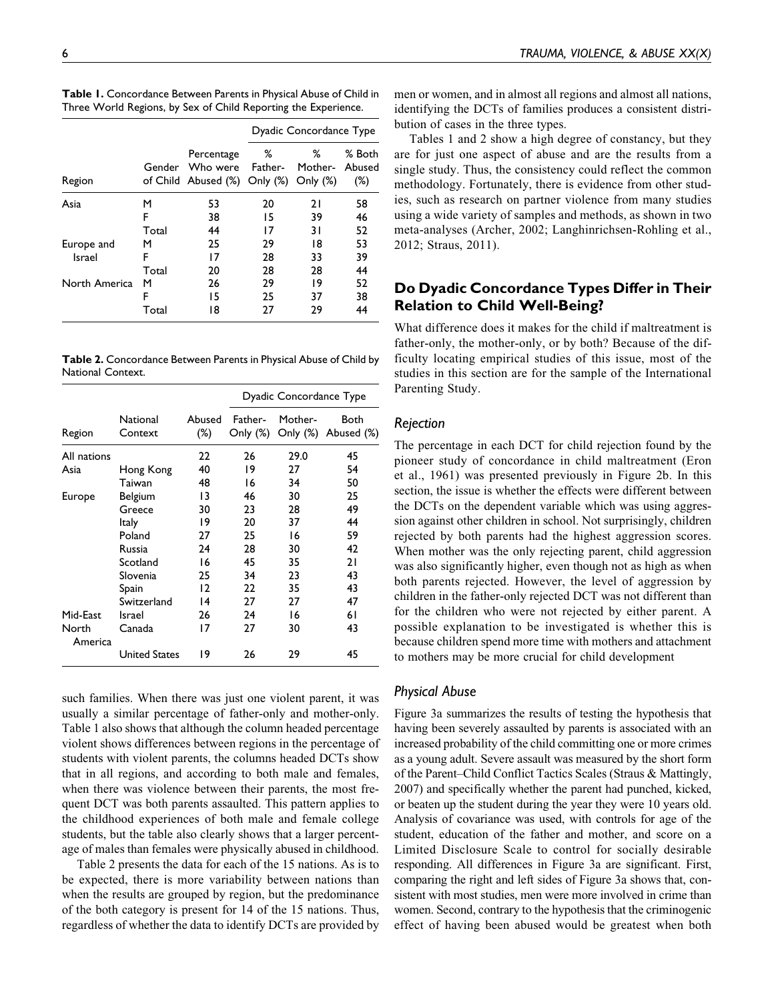|                      |                 |                                                        | Dyadic Concordance Type |                             |                            |
|----------------------|-----------------|--------------------------------------------------------|-------------------------|-----------------------------|----------------------------|
| Region               | Gender          | Percentage<br>Who were<br>of Child Abused (%) Only (%) | %<br>Father-            | ℅<br>Mother-<br>Only $(\%)$ | % Both<br>Abused<br>$(\%)$ |
| Asia                 | м<br>F<br>Total | 53<br>38<br>44                                         | 20<br>15<br>17          | 21<br>39<br>31              | 58<br>46<br>52             |
| Europe and<br>Israel | м<br>F<br>Total | 25<br>17<br>20                                         | 29<br>28<br>28          | 18<br>33<br>28              | 53<br>39<br>44             |
| North America        | м<br>F<br>Total | 26<br>15<br>18                                         | 29<br>25<br>27          | 19<br>37<br>29              | 52<br>38<br>44             |

Table 1. Concordance Between Parents in Physical Abuse of Child in Three World Regions, by Sex of Child Reporting the Experience.

Table 2. Concordance Between Parents in Physical Abuse of Child by National Context.

|                  |                      |                  | Dyadic Concordance Type |                     |                    |
|------------------|----------------------|------------------|-------------------------|---------------------|--------------------|
| Region           | National<br>Context  | Abused<br>$(\%)$ | Father-<br>Only (%)     | Mother-<br>Only (%) | Both<br>Abused (%) |
| All nations      |                      | 22               | 26                      | 29.0                | 45                 |
| Asia             | Hong Kong            | 40               | 19                      | 27                  | 54                 |
|                  | Taiwan               | 48               | 16                      | 34                  | 50                 |
| Europe           | Belgium              | 13               | 46                      | 30                  | 25                 |
|                  | Greece               | 30               | 23                      | 28                  | 49                 |
|                  | ltaly                | 19               | 20                      | 37                  | 44                 |
|                  | Poland               | 27               | 25                      | 16                  | 59                 |
|                  | Russia               | 24               | 28                      | 30                  | 42                 |
|                  | Scotland             | 16               | 45                      | 35                  | 21                 |
|                  | Slovenia             | 25               | 34                      | 23                  | 43                 |
|                  | Spain                | 12               | 22                      | 35                  | 43                 |
|                  | Switzerland          | $\overline{14}$  | 27                      | 27                  | 47                 |
| Mid-East         | Israel               | 26               | 24                      | 16                  | 6 I                |
| North<br>America | Canada               | 17               | 27                      | 30                  | 43                 |
|                  | <b>United States</b> | 19               | 26                      | 29                  | 45                 |

such families. When there was just one violent parent, it was usually a similar percentage of father-only and mother-only. Table 1 also shows that although the column headed percentage violent shows differences between regions in the percentage of students with violent parents, the columns headed DCTs show that in all regions, and according to both male and females, when there was violence between their parents, the most frequent DCT was both parents assaulted. This pattern applies to the childhood experiences of both male and female college students, but the table also clearly shows that a larger percentage of males than females were physically abused in childhood.

Table 2 presents the data for each of the 15 nations. As is to be expected, there is more variability between nations than when the results are grouped by region, but the predominance of the both category is present for 14 of the 15 nations. Thus, regardless of whether the data to identify DCTs are provided by men or women, and in almost all regions and almost all nations, identifying the DCTs of families produces a consistent distribution of cases in the three types.

Tables 1 and 2 show a high degree of constancy, but they are for just one aspect of abuse and are the results from a single study. Thus, the consistency could reflect the common methodology. Fortunately, there is evidence from other studies, such as research on partner violence from many studies using a wide variety of samples and methods, as shown in two meta-analyses (Archer, 2002; Langhinrichsen-Rohling et al., 2012; Straus, 2011).

# Do Dyadic Concordance Types Differ in Their Relation to Child Well-Being?

What difference does it makes for the child if maltreatment is father-only, the mother-only, or by both? Because of the difficulty locating empirical studies of this issue, most of the studies in this section are for the sample of the International Parenting Study.

# Rejection

The percentage in each DCT for child rejection found by the pioneer study of concordance in child maltreatment (Eron et al., 1961) was presented previously in Figure 2b. In this section, the issue is whether the effects were different between the DCTs on the dependent variable which was using aggression against other children in school. Not surprisingly, children rejected by both parents had the highest aggression scores. When mother was the only rejecting parent, child aggression was also significantly higher, even though not as high as when both parents rejected. However, the level of aggression by children in the father-only rejected DCT was not different than for the children who were not rejected by either parent. A possible explanation to be investigated is whether this is because children spend more time with mothers and attachment to mothers may be more crucial for child development

## Physical Abuse

Figure 3a summarizes the results of testing the hypothesis that having been severely assaulted by parents is associated with an increased probability of the child committing one or more crimes as a young adult. Severe assault was measured by the short form of the Parent–Child Conflict Tactics Scales (Straus & Mattingly, 2007) and specifically whether the parent had punched, kicked, or beaten up the student during the year they were 10 years old. Analysis of covariance was used, with controls for age of the student, education of the father and mother, and score on a Limited Disclosure Scale to control for socially desirable responding. All differences in Figure 3a are significant. First, comparing the right and left sides of Figure 3a shows that, consistent with most studies, men were more involved in crime than women. Second, contrary to the hypothesis that the criminogenic effect of having been abused would be greatest when both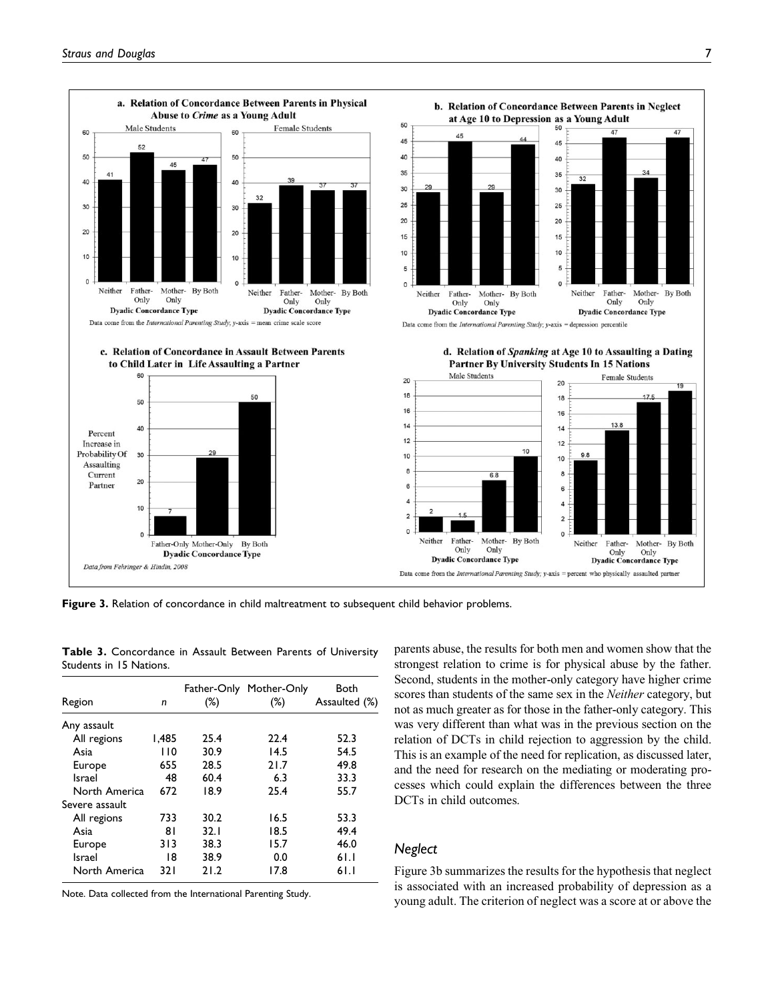

Figure 3. Relation of concordance in child maltreatment to subsequent child behavior problems.

| Region         | n     | $(\%)$ | Father-Only Mother-Only<br>(%) | Both<br>Assaulted (%) |
|----------------|-------|--------|--------------------------------|-----------------------|
| Any assault    |       |        |                                |                       |
| All regions    | 1.485 | 25.4   | 22.4                           | 52.3                  |
| Asia           | 110   | 30.9   | 14.5                           | 54.5                  |
| Europe         | 655   | 28.5   | 21.7                           | 49.8                  |
| Israel         | 48    | 60.4   | 6.3                            | 33.3                  |
| North America  | 672   | 18.9   | 25.4                           | 55.7                  |
| Severe assault |       |        |                                |                       |
| All regions    | 733   | 30.2   | 16.5                           | 53.3                  |
| Asia           | 81    | 32.1   | 18.5                           | 49.4                  |
| Europe         | 313   | 38.3   | 15.7                           | 46.0                  |
| Israel         | 18    | 38.9   | 0.0                            | 61.1                  |
| North America  | 32 I  | 21.2   | 17.8                           | 61.1                  |

Table 3. Concordance in Assault Between Parents of University Students in 15 Nations.

Note. Data collected from the International Parenting Study.

parents abuse, the results for both men and women show that the strongest relation to crime is for physical abuse by the father. Second, students in the mother-only category have higher crime scores than students of the same sex in the Neither category, but not as much greater as for those in the father-only category. This was very different than what was in the previous section on the relation of DCTs in child rejection to aggression by the child. This is an example of the need for replication, as discussed later, and the need for research on the mediating or moderating processes which could explain the differences between the three DCTs in child outcomes.

# **Neglect**

Figure 3b summarizes the results for the hypothesis that neglect is associated with an increased probability of depression as a young adult. The criterion of neglect was a score at or above the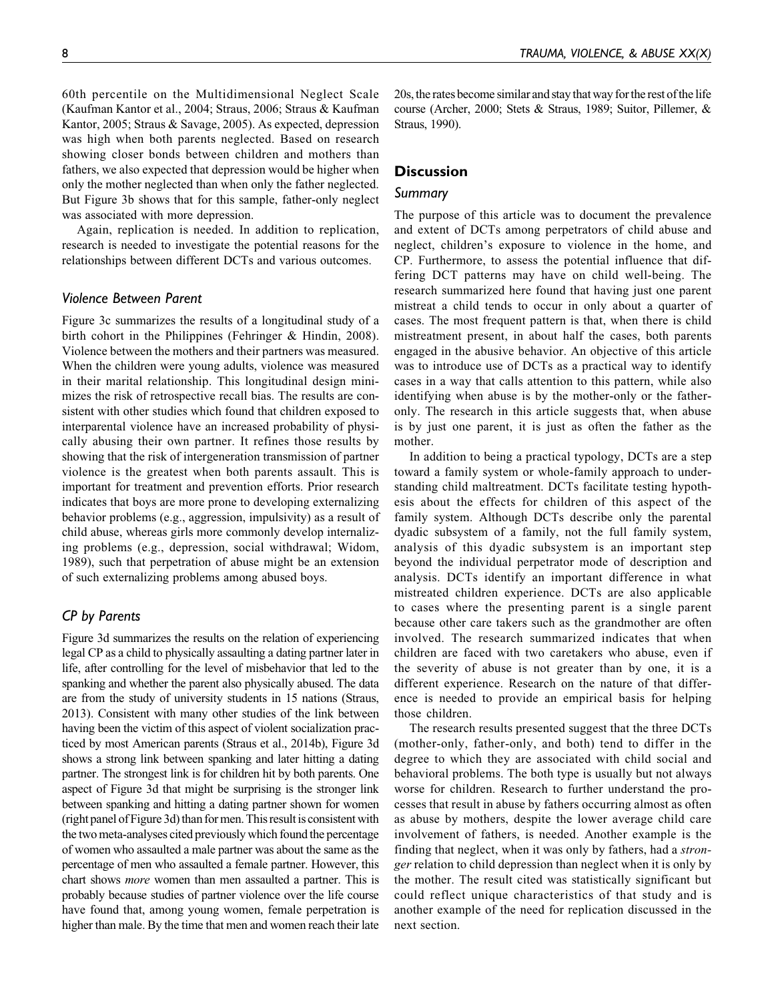60th percentile on the Multidimensional Neglect Scale (Kaufman Kantor et al., 2004; Straus, 2006; Straus & Kaufman Kantor, 2005; Straus & Savage, 2005). As expected, depression was high when both parents neglected. Based on research showing closer bonds between children and mothers than fathers, we also expected that depression would be higher when only the mother neglected than when only the father neglected. But Figure 3b shows that for this sample, father-only neglect was associated with more depression.

Again, replication is needed. In addition to replication, research is needed to investigate the potential reasons for the relationships between different DCTs and various outcomes.

# Violence Between Parent

Figure 3c summarizes the results of a longitudinal study of a birth cohort in the Philippines (Fehringer & Hindin, 2008). Violence between the mothers and their partners was measured. When the children were young adults, violence was measured in their marital relationship. This longitudinal design minimizes the risk of retrospective recall bias. The results are consistent with other studies which found that children exposed to interparental violence have an increased probability of physically abusing their own partner. It refines those results by showing that the risk of intergeneration transmission of partner violence is the greatest when both parents assault. This is important for treatment and prevention efforts. Prior research indicates that boys are more prone to developing externalizing behavior problems (e.g., aggression, impulsivity) as a result of child abuse, whereas girls more commonly develop internalizing problems (e.g., depression, social withdrawal; Widom, 1989), such that perpetration of abuse might be an extension of such externalizing problems among abused boys.

## CP by Parents

Figure 3d summarizes the results on the relation of experiencing legal CP as a child to physically assaulting a dating partner later in life, after controlling for the level of misbehavior that led to the spanking and whether the parent also physically abused. The data are from the study of university students in 15 nations (Straus, 2013). Consistent with many other studies of the link between having been the victim of this aspect of violent socialization practiced by most American parents (Straus et al., 2014b), Figure 3d shows a strong link between spanking and later hitting a dating partner. The strongest link is for children hit by both parents. One aspect of Figure 3d that might be surprising is the stronger link between spanking and hitting a dating partner shown for women (right panel of Figure 3d) than for men. This result is consistent with the two meta-analyses cited previously which found the percentage of women who assaulted a male partner was about the same as the percentage of men who assaulted a female partner. However, this chart shows more women than men assaulted a partner. This is probably because studies of partner violence over the life course have found that, among young women, female perpetration is higher than male. By the time that men and women reach their late

20s, the rates become similar and stay that way for the rest of the life course (Archer, 2000; Stets & Straus, 1989; Suitor, Pillemer, & Straus, 1990).

# **Discussion**

## Summary

The purpose of this article was to document the prevalence and extent of DCTs among perpetrators of child abuse and neglect, children's exposure to violence in the home, and CP. Furthermore, to assess the potential influence that differing DCT patterns may have on child well-being. The research summarized here found that having just one parent mistreat a child tends to occur in only about a quarter of cases. The most frequent pattern is that, when there is child mistreatment present, in about half the cases, both parents engaged in the abusive behavior. An objective of this article was to introduce use of DCTs as a practical way to identify cases in a way that calls attention to this pattern, while also identifying when abuse is by the mother-only or the fatheronly. The research in this article suggests that, when abuse is by just one parent, it is just as often the father as the mother.

In addition to being a practical typology, DCTs are a step toward a family system or whole-family approach to understanding child maltreatment. DCTs facilitate testing hypothesis about the effects for children of this aspect of the family system. Although DCTs describe only the parental dyadic subsystem of a family, not the full family system, analysis of this dyadic subsystem is an important step beyond the individual perpetrator mode of description and analysis. DCTs identify an important difference in what mistreated children experience. DCTs are also applicable to cases where the presenting parent is a single parent because other care takers such as the grandmother are often involved. The research summarized indicates that when children are faced with two caretakers who abuse, even if the severity of abuse is not greater than by one, it is a different experience. Research on the nature of that difference is needed to provide an empirical basis for helping those children.

The research results presented suggest that the three DCTs (mother-only, father-only, and both) tend to differ in the degree to which they are associated with child social and behavioral problems. The both type is usually but not always worse for children. Research to further understand the processes that result in abuse by fathers occurring almost as often as abuse by mothers, despite the lower average child care involvement of fathers, is needed. Another example is the finding that neglect, when it was only by fathers, had a *stron*ger relation to child depression than neglect when it is only by the mother. The result cited was statistically significant but could reflect unique characteristics of that study and is another example of the need for replication discussed in the next section.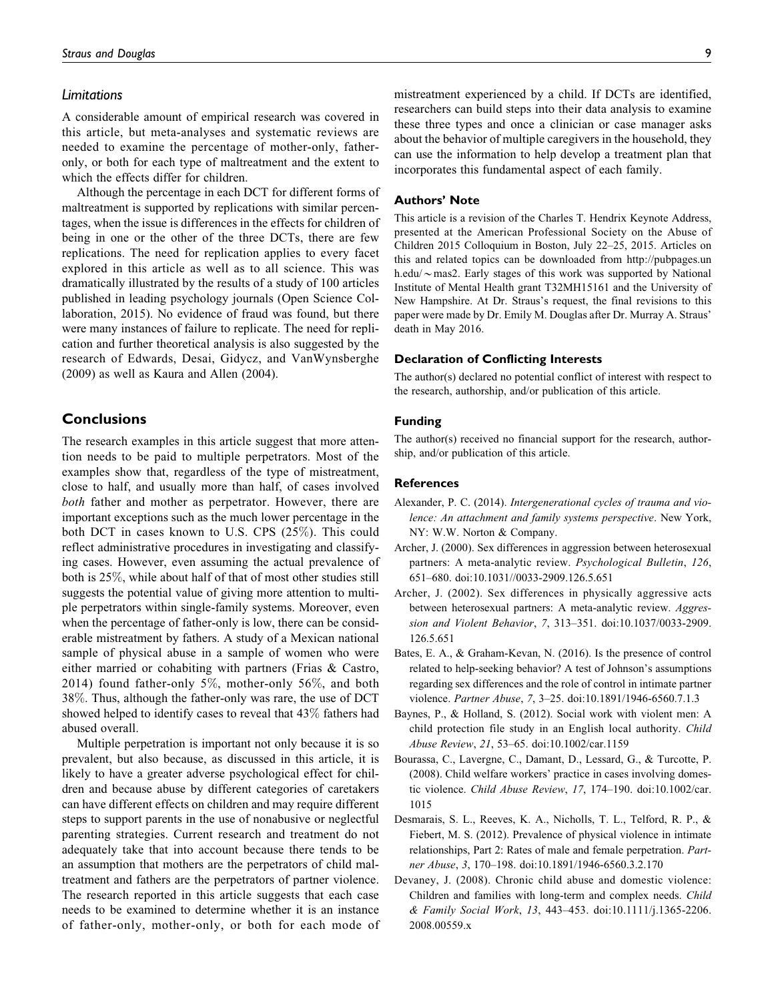#### Limitations

A considerable amount of empirical research was covered in this article, but meta-analyses and systematic reviews are needed to examine the percentage of mother-only, fatheronly, or both for each type of maltreatment and the extent to which the effects differ for children.

Although the percentage in each DCT for different forms of maltreatment is supported by replications with similar percentages, when the issue is differences in the effects for children of being in one or the other of the three DCTs, there are few replications. The need for replication applies to every facet explored in this article as well as to all science. This was dramatically illustrated by the results of a study of 100 articles published in leading psychology journals (Open Science Collaboration, 2015). No evidence of fraud was found, but there were many instances of failure to replicate. The need for replication and further theoretical analysis is also suggested by the research of Edwards, Desai, Gidycz, and VanWynsberghe (2009) as well as Kaura and Allen (2004).

## **Conclusions**

The research examples in this article suggest that more attention needs to be paid to multiple perpetrators. Most of the examples show that, regardless of the type of mistreatment, close to half, and usually more than half, of cases involved both father and mother as perpetrator. However, there are important exceptions such as the much lower percentage in the both DCT in cases known to U.S. CPS (25%). This could reflect administrative procedures in investigating and classifying cases. However, even assuming the actual prevalence of both is 25%, while about half of that of most other studies still suggests the potential value of giving more attention to multiple perpetrators within single-family systems. Moreover, even when the percentage of father-only is low, there can be considerable mistreatment by fathers. A study of a Mexican national sample of physical abuse in a sample of women who were either married or cohabiting with partners (Frias & Castro, 2014) found father-only 5%, mother-only 56%, and both 38%. Thus, although the father-only was rare, the use of DCT showed helped to identify cases to reveal that 43% fathers had abused overall.

Multiple perpetration is important not only because it is so prevalent, but also because, as discussed in this article, it is likely to have a greater adverse psychological effect for children and because abuse by different categories of caretakers can have different effects on children and may require different steps to support parents in the use of nonabusive or neglectful parenting strategies. Current research and treatment do not adequately take that into account because there tends to be an assumption that mothers are the perpetrators of child maltreatment and fathers are the perpetrators of partner violence. The research reported in this article suggests that each case needs to be examined to determine whether it is an instance of father-only, mother-only, or both for each mode of mistreatment experienced by a child. If DCTs are identified, researchers can build steps into their data analysis to examine these three types and once a clinician or case manager asks about the behavior of multiple caregivers in the household, they can use the information to help develop a treatment plan that incorporates this fundamental aspect of each family.

### Authors' Note

This article is a revision of the Charles T. Hendrix Keynote Address, presented at the American Professional Society on the Abuse of Children 2015 Colloquium in Boston, July 22–25, 2015. Articles on this and related topics can be downloaded from [http://pubpages.un](http://pubpages.unh.edu/~mas2) [h.edu/](http://pubpages.unh.edu/~mas2) $\sim$ [mas2](http://pubpages.unh.edu/~mas2). Early stages of this work was supported by National Institute of Mental Health grant T32MH15161 and the University of New Hampshire. At Dr. Straus's request, the final revisions to this paper were made by Dr. Emily M. Douglas after Dr. Murray A. Straus' death in May 2016.

#### Declaration of Conflicting Interests

The author(s) declared no potential conflict of interest with respect to the research, authorship, and/or publication of this article.

#### Funding

The author(s) received no financial support for the research, authorship, and/or publication of this article.

#### References

- Alexander, P. C. (2014). Intergenerational cycles of trauma and violence: An attachment and family systems perspective. New York, NY: W.W. Norton & Company.
- Archer, J. (2000). Sex differences in aggression between heterosexual partners: A meta-analytic review. Psychological Bulletin, 126, 651–680. doi:10.1031//0033-2909.126.5.651
- Archer, J. (2002). Sex differences in physically aggressive acts between heterosexual partners: A meta-analytic review. Aggression and Violent Behavior, 7, 313–351. doi:10.1037/0033-2909. 126.5.651
- Bates, E. A., & Graham-Kevan, N. (2016). Is the presence of control related to help-seeking behavior? A test of Johnson's assumptions regarding sex differences and the role of control in intimate partner violence. Partner Abuse, 7, 3–25. doi:10.1891/1946-6560.7.1.3
- Baynes, P., & Holland, S. (2012). Social work with violent men: A child protection file study in an English local authority. Child Abuse Review, 21, 53–65. doi:10.1002/car.1159
- Bourassa, C., Lavergne, C., Damant, D., Lessard, G., & Turcotte, P. (2008). Child welfare workers' practice in cases involving domestic violence. Child Abuse Review, 17, 174–190. doi:10.1002/car. 1015
- Desmarais, S. L., Reeves, K. A., Nicholls, T. L., Telford, R. P., & Fiebert, M. S. (2012). Prevalence of physical violence in intimate relationships, Part 2: Rates of male and female perpetration. Partner Abuse, 3, 170–198. doi:10.1891/1946-6560.3.2.170
- Devaney, J. (2008). Chronic child abuse and domestic violence: Children and families with long-term and complex needs. Child & Family Social Work, 13, 443–453. doi:10.1111/j.1365-2206. 2008.00559.x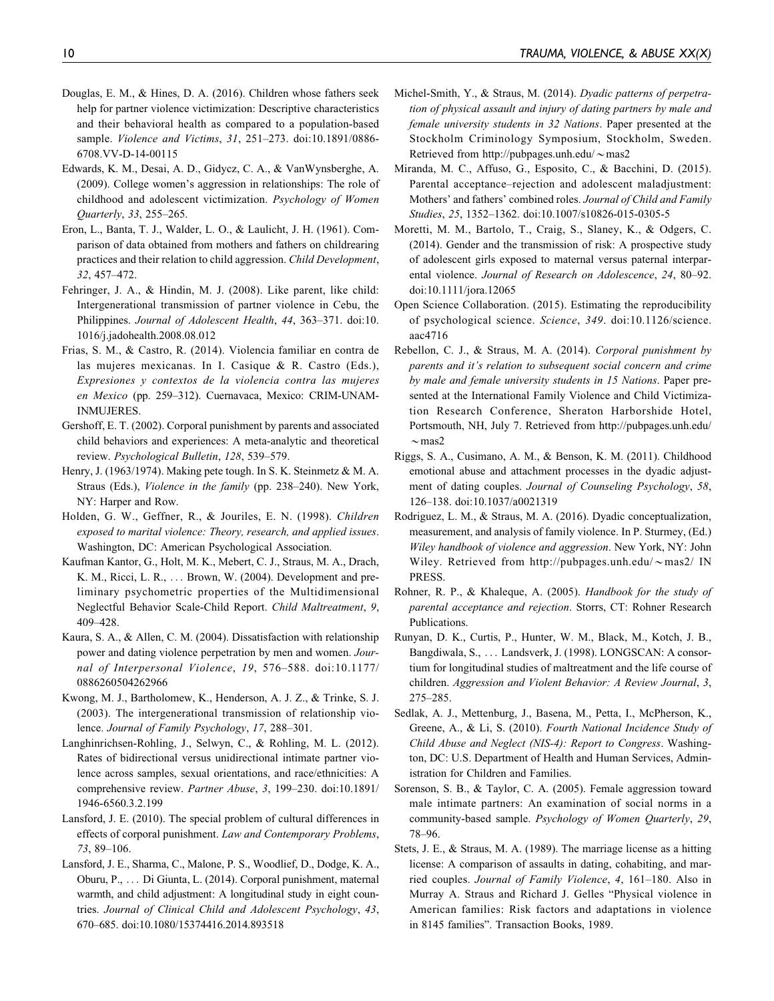- Douglas, E. M., & Hines, D. A. (2016). Children whose fathers seek help for partner violence victimization: Descriptive characteristics and their behavioral health as compared to a population-based sample. Violence and Victims, 31, 251–273. doi:10.1891/0886- 6708.VV-D-14-00115
- Edwards, K. M., Desai, A. D., Gidycz, C. A., & VanWynsberghe, A. (2009). College women's aggression in relationships: The role of childhood and adolescent victimization. Psychology of Women Quarterly, 33, 255–265.
- Eron, L., Banta, T. J., Walder, L. O., & Laulicht, J. H. (1961). Comparison of data obtained from mothers and fathers on childrearing practices and their relation to child aggression. Child Development, 32, 457–472.
- Fehringer, J. A., & Hindin, M. J. (2008). Like parent, like child: Intergenerational transmission of partner violence in Cebu, the Philippines. Journal of Adolescent Health, 44, 363–371. doi:10. 1016/j.jadohealth.2008.08.012
- Frias, S. M., & Castro, R. (2014). Violencia familiar en contra de las mujeres mexicanas. In I. Casique & R. Castro (Eds.), Expresiones y contextos de la violencia contra las mujeres en Mexico (pp. 259–312). Cuernavaca, Mexico: CRIM-UNAM-INMUJERES.
- Gershoff, E. T. (2002). Corporal punishment by parents and associated child behaviors and experiences: A meta-analytic and theoretical review. Psychological Bulletin, 128, 539–579.
- Henry, J. (1963/1974). Making pete tough. In S. K. Steinmetz & M. A. Straus (Eds.), Violence in the family (pp. 238–240). New York, NY: Harper and Row.
- Holden, G. W., Geffner, R., & Jouriles, E. N. (1998). Children exposed to marital violence: Theory, research, and applied issues. Washington, DC: American Psychological Association.
- Kaufman Kantor, G., Holt, M. K., Mebert, C. J., Straus, M. A., Drach, K. M., Ricci, L. R., ... Brown, W. (2004). Development and preliminary psychometric properties of the Multidimensional Neglectful Behavior Scale-Child Report. Child Maltreatment, 9, 409–428.
- Kaura, S. A., & Allen, C. M. (2004). Dissatisfaction with relationship power and dating violence perpetration by men and women. Journal of Interpersonal Violence, 19, 576–588. doi:10.1177/ 0886260504262966
- Kwong, M. J., Bartholomew, K., Henderson, A. J. Z., & Trinke, S. J. (2003). The intergenerational transmission of relationship violence. Journal of Family Psychology, 17, 288–301.
- Langhinrichsen-Rohling, J., Selwyn, C., & Rohling, M. L. (2012). Rates of bidirectional versus unidirectional intimate partner violence across samples, sexual orientations, and race/ethnicities: A comprehensive review. Partner Abuse, 3, 199–230. doi:10.1891/ 1946-6560.3.2.199
- Lansford, J. E. (2010). The special problem of cultural differences in effects of corporal punishment. Law and Contemporary Problems, 73, 89–106.
- Lansford, J. E., Sharma, C., Malone, P. S., Woodlief, D., Dodge, K. A., Oburu, P., ... Di Giunta, L. (2014). Corporal punishment, maternal warmth, and child adjustment: A longitudinal study in eight countries. Journal of Clinical Child and Adolescent Psychology, 43, 670–685. doi:10.1080/15374416.2014.893518
- Michel-Smith, Y., & Straus, M. (2014). Dyadic patterns of perpetration of physical assault and injury of dating partners by male and female university students in 32 Nations. Paper presented at the Stockholm Criminology Symposium, Stockholm, Sweden. Retrieved from [http://pubpages.unh.edu/](http://pubpages.unh.edu/~mas2) $\sim$ [mas2](http://pubpages.unh.edu/~mas2)
- Miranda, M. C., Affuso, G., Esposito, C., & Bacchini, D. (2015). Parental acceptance–rejection and adolescent maladjustment: Mothers' and fathers' combined roles. Journal of Child and Family Studies, 25, 1352–1362. doi:10.1007/s10826-015-0305-5
- Moretti, M. M., Bartolo, T., Craig, S., Slaney, K., & Odgers, C. (2014). Gender and the transmission of risk: A prospective study of adolescent girls exposed to maternal versus paternal interparental violence. Journal of Research on Adolescence, 24, 80–92. doi:10.1111/jora.12065
- Open Science Collaboration. (2015). Estimating the reproducibility of psychological science. Science, 349. doi:10.1126/science. aac4716
- Rebellon, C. J., & Straus, M. A. (2014). Corporal punishment by parents and it's relation to subsequent social concern and crime by male and female university students in 15 Nations. Paper presented at the International Family Violence and Child Victimization Research Conference, Sheraton Harborshide Hotel, Portsmouth, NH, July 7. Retrieved from [http://pubpages.unh.edu/](http://pubpages.unh.edu/~mas2)  $\sim$ [mas2](http://pubpages.unh.edu/~mas2)
- Riggs, S. A., Cusimano, A. M., & Benson, K. M. (2011). Childhood emotional abuse and attachment processes in the dyadic adjustment of dating couples. Journal of Counseling Psychology, 58, 126–138. doi:10.1037/a0021319
- Rodriguez, L. M., & Straus, M. A. (2016). Dyadic conceptualization, measurement, and analysis of family violence. In P. Sturmey, (Ed.) Wiley handbook of violence and aggression. New York, NY: John Wiley. Retrieved from [http://pubpages.unh.edu/](http://pubpages.unh.edu/~mas2/) $\sim$ [mas2/](http://pubpages.unh.edu/~mas2/) IN PRESS.
- Rohner, R. P., & Khaleque, A. (2005). Handbook for the study of parental acceptance and rejection. Storrs, CT: Rohner Research Publications.
- Runyan, D. K., Curtis, P., Hunter, W. M., Black, M., Kotch, J. B., Bangdiwala, S., ... Landsverk, J. (1998). LONGSCAN: A consortium for longitudinal studies of maltreatment and the life course of children. Aggression and Violent Behavior: A Review Journal, 3, 275–285.
- Sedlak, A. J., Mettenburg, J., Basena, M., Petta, I., McPherson, K., Greene, A., & Li, S. (2010). Fourth National Incidence Study of Child Abuse and Neglect (NIS-4): Report to Congress. Washington, DC: U.S. Department of Health and Human Services, Administration for Children and Families.
- Sorenson, S. B., & Taylor, C. A. (2005). Female aggression toward male intimate partners: An examination of social norms in a community-based sample. Psychology of Women Quarterly, 29, 78–96.
- Stets, J. E., & Straus, M. A. (1989). The marriage license as a hitting license: A comparison of assaults in dating, cohabiting, and married couples. Journal of Family Violence, 4, 161–180. Also in Murray A. Straus and Richard J. Gelles "Physical violence in American families: Risk factors and adaptations in violence in 8145 families". Transaction Books, 1989.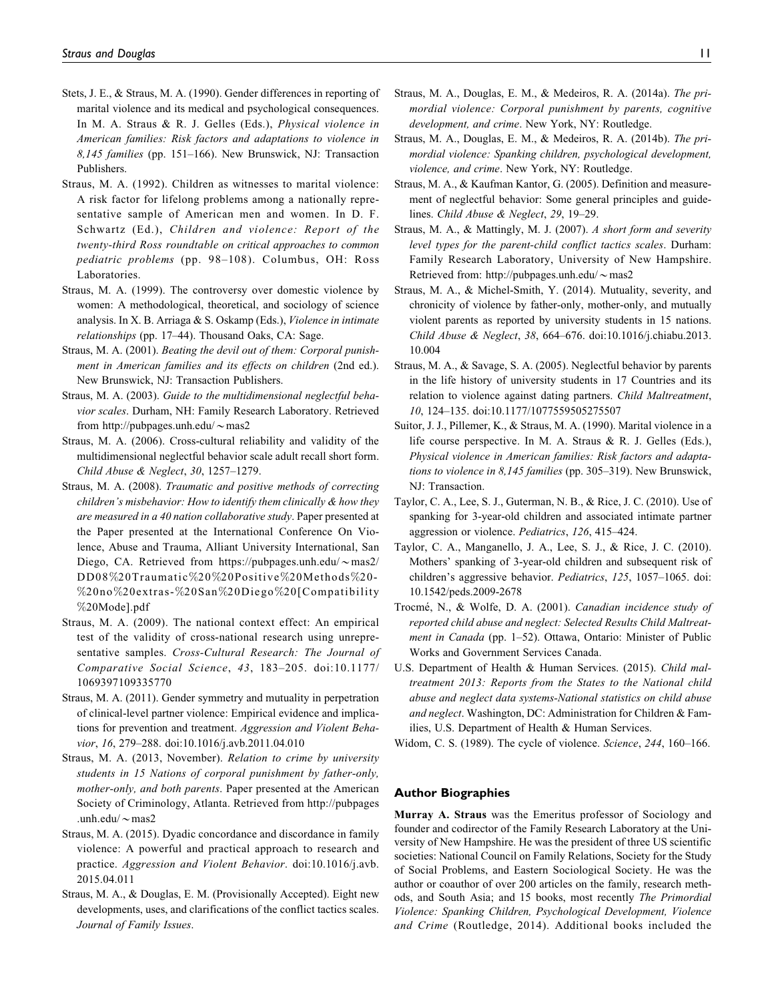- Stets, J. E., & Straus, M. A. (1990). Gender differences in reporting of marital violence and its medical and psychological consequences. In M. A. Straus & R. J. Gelles (Eds.), Physical violence in American families: Risk factors and adaptations to violence in 8,145 families (pp. 151–166). New Brunswick, NJ: Transaction Publishers.
- Straus, M. A. (1992). Children as witnesses to marital violence: A risk factor for lifelong problems among a nationally representative sample of American men and women. In D. F. Schwartz (Ed.), Children and violence: Report of the twenty-third Ross roundtable on critical approaches to common pediatric problems (pp. 98–108). Columbus, OH: Ross Laboratories.
- Straus, M. A. (1999). The controversy over domestic violence by women: A methodological, theoretical, and sociology of science analysis. In X. B. Arriaga & S. Oskamp (Eds.), Violence in intimate relationships (pp. 17–44). Thousand Oaks, CA: Sage.
- Straus, M. A. (2001). Beating the devil out of them: Corporal punishment in American families and its effects on children (2nd ed.). New Brunswick, NJ: Transaction Publishers.
- Straus, M. A. (2003). Guide to the multidimensional neglectful behavior scales. Durham, NH: Family Research Laboratory. Retrieved from [http://pubpages.unh.edu/](http://pubpages.unh.edu/~mas2) $\sim$ [mas2](http://pubpages.unh.edu/~mas2)
- Straus, M. A. (2006). Cross-cultural reliability and validity of the multidimensional neglectful behavior scale adult recall short form. Child Abuse & Neglect, 30, 1257–1279.
- Straus, M. A. (2008). Traumatic and positive methods of correcting children's misbehavior: How to identify them clinically & how they are measured in a 40 nation collaborative study. Paper presented at the Paper presented at the International Conference On Violence, Abuse and Trauma, Alliant University International, San Diego, CA. Retrieved from [https://pubpages.unh.edu/](https://pubpages.unh.edu/~mas2/DD08%20Traumatic%20%20Positive%20Methods%20-%20no%20extras-%20San%20Diego%20[Compatibility%20Mode].pdf) $\sim$ [mas2/](https://pubpages.unh.edu/~mas2/DD08%20Traumatic%20%20Positive%20Methods%20-%20no%20extras-%20San%20Diego%20[Compatibility%20Mode].pdf) [DD08](https://pubpages.unh.edu/~mas2/DD08%20Traumatic%20%20Positive%20Methods%20-%20no%20extras-%20San%20Diego%20[Compatibility%20Mode].pdf)%[20Traumatic](https://pubpages.unh.edu/~mas2/DD08%20Traumatic%20%20Positive%20Methods%20-%20no%20extras-%20San%20Diego%20[Compatibility%20Mode].pdf)%[2 0](https://pubpages.unh.edu/~mas2/DD08%20Traumatic%20%20Positive%20Methods%20-%20no%20extras-%20San%20Diego%20[Compatibility%20Mode].pdf)%[20Positive](https://pubpages.unh.edu/~mas2/DD08%20Traumatic%20%20Positive%20Methods%20-%20no%20extras-%20San%20Diego%20[Compatibility%20Mode].pdf)%[20Methods](https://pubpages.unh.edu/~mas2/DD08%20Traumatic%20%20Positive%20Methods%20-%20no%20extras-%20San%20Diego%20[Compatibility%20Mode].pdf)%[20-](https://pubpages.unh.edu/~mas2/DD08%20Traumatic%20%20Positive%20Methods%20-%20no%20extras-%20San%20Diego%20[Compatibility%20Mode].pdf) %[20no](https://pubpages.unh.edu/~mas2/DD08%20Traumatic%20%20Positive%20Methods%20-%20no%20extras-%20San%20Diego%20[Compatibility%20Mode].pdf)%[20extras-](https://pubpages.unh.edu/~mas2/DD08%20Traumatic%20%20Positive%20Methods%20-%20no%20extras-%20San%20Diego%20[Compatibility%20Mode].pdf)%[20San](https://pubpages.unh.edu/~mas2/DD08%20Traumatic%20%20Positive%20Methods%20-%20no%20extras-%20San%20Diego%20[Compatibility%20Mode].pdf)%[20Diego](https://pubpages.unh.edu/~mas2/DD08%20Traumatic%20%20Positive%20Methods%20-%20no%20extras-%20San%20Diego%20[Compatibility%20Mode].pdf)%[20\[Compatibility](https://pubpages.unh.edu/~mas2/DD08%20Traumatic%20%20Positive%20Methods%20-%20no%20extras-%20San%20Diego%20[Compatibility%20Mode].pdf) %[20Mode\].pdf](https://pubpages.unh.edu/~mas2/DD08%20Traumatic%20%20Positive%20Methods%20-%20no%20extras-%20San%20Diego%20[Compatibility%20Mode].pdf)
- Straus, M. A. (2009). The national context effect: An empirical test of the validity of cross-national research using unrepresentative samples. Cross-Cultural Research: The Journal of Comparative Social Science, 43, 183–205. doi:10.1177/ 1069397109335770
- Straus, M. A. (2011). Gender symmetry and mutuality in perpetration of clinical-level partner violence: Empirical evidence and implications for prevention and treatment. Aggression and Violent Behavior, 16, 279–288. doi:10.1016/j.avb.2011.04.010
- Straus, M. A. (2013, November). Relation to crime by university students in 15 Nations of corporal punishment by father-only, mother-only, and both parents. Paper presented at the American Society of Criminology, Atlanta. Retrieved from [http://pubpages](http://pubpages.unh.edu/~mas2) [.unh.edu/](http://pubpages.unh.edu/~mas2) $\sim$ [mas2](http://pubpages.unh.edu/~mas2)
- Straus, M. A. (2015). Dyadic concordance and discordance in family violence: A powerful and practical approach to research and practice. Aggression and Violent Behavior. doi:10.1016/j.avb. 2015.04.011
- Straus, M. A., & Douglas, E. M. (Provisionally Accepted). Eight new developments, uses, and clarifications of the conflict tactics scales. Journal of Family Issues.
- Straus, M. A., Douglas, E. M., & Medeiros, R. A. (2014a). The primordial violence: Corporal punishment by parents, cognitive development, and crime. New York, NY: Routledge.
- Straus, M. A., Douglas, E. M., & Medeiros, R. A. (2014b). The primordial violence: Spanking children, psychological development, violence, and crime. New York, NY: Routledge.
- Straus, M. A., & Kaufman Kantor, G. (2005). Definition and measurement of neglectful behavior: Some general principles and guidelines. Child Abuse & Neglect, 29, 19–29.
- Straus, M. A., & Mattingly, M. J. (2007). A short form and severity level types for the parent-child conflict tactics scales. Durham: Family Research Laboratory, University of New Hampshire. Retrieved from: [http://pubpages.unh.edu/](http://pubpages.unh.edu/~mas2) $\sim$ [mas2](http://pubpages.unh.edu/~mas2)
- Straus, M. A., & Michel-Smith, Y. (2014). Mutuality, severity, and chronicity of violence by father-only, mother-only, and mutually violent parents as reported by university students in 15 nations. Child Abuse & Neglect, 38, 664–676. doi:10.1016/j.chiabu.2013. 10.004
- Straus, M. A., & Savage, S. A. (2005). Neglectful behavior by parents in the life history of university students in 17 Countries and its relation to violence against dating partners. Child Maltreatment, 10, 124–135. doi:10.1177/1077559505275507
- Suitor, J. J., Pillemer, K., & Straus, M. A. (1990). Marital violence in a life course perspective. In M. A. Straus & R. J. Gelles (Eds.), Physical violence in American families: Risk factors and adaptations to violence in 8,145 families (pp. 305-319). New Brunswick, NJ: Transaction.
- Taylor, C. A., Lee, S. J., Guterman, N. B., & Rice, J. C. (2010). Use of spanking for 3-year-old children and associated intimate partner aggression or violence. Pediatrics, 126, 415–424.
- Taylor, C. A., Manganello, J. A., Lee, S. J., & Rice, J. C. (2010). Mothers' spanking of 3-year-old children and subsequent risk of children's aggressive behavior. Pediatrics, 125, 1057–1065. doi: 10.1542/peds.2009-2678
- Trocmé, N., & Wolfe, D. A. (2001). Canadian incidence study of reported child abuse and neglect: Selected Results Child Maltreatment in Canada (pp. 1–52). Ottawa, Ontario: Minister of Public Works and Government Services Canada.
- U.S. Department of Health & Human Services. (2015). Child maltreatment 2013: Reports from the States to the National child abuse and neglect data systems-National statistics on child abuse and neglect. Washington, DC: Administration for Children & Families, U.S. Department of Health & Human Services.
- Widom, C. S. (1989). The cycle of violence. Science, 244, 160–166.

#### Author Biographies

Murray A. Straus was the Emeritus professor of Sociology and founder and codirector of the Family Research Laboratory at the University of New Hampshire. He was the president of three US scientific societies: National Council on Family Relations, Society for the Study of Social Problems, and Eastern Sociological Society. He was the author or coauthor of over 200 articles on the family, research methods, and South Asia; and 15 books, most recently The Primordial Violence: Spanking Children, Psychological Development, Violence and Crime (Routledge, 2014). Additional books included the